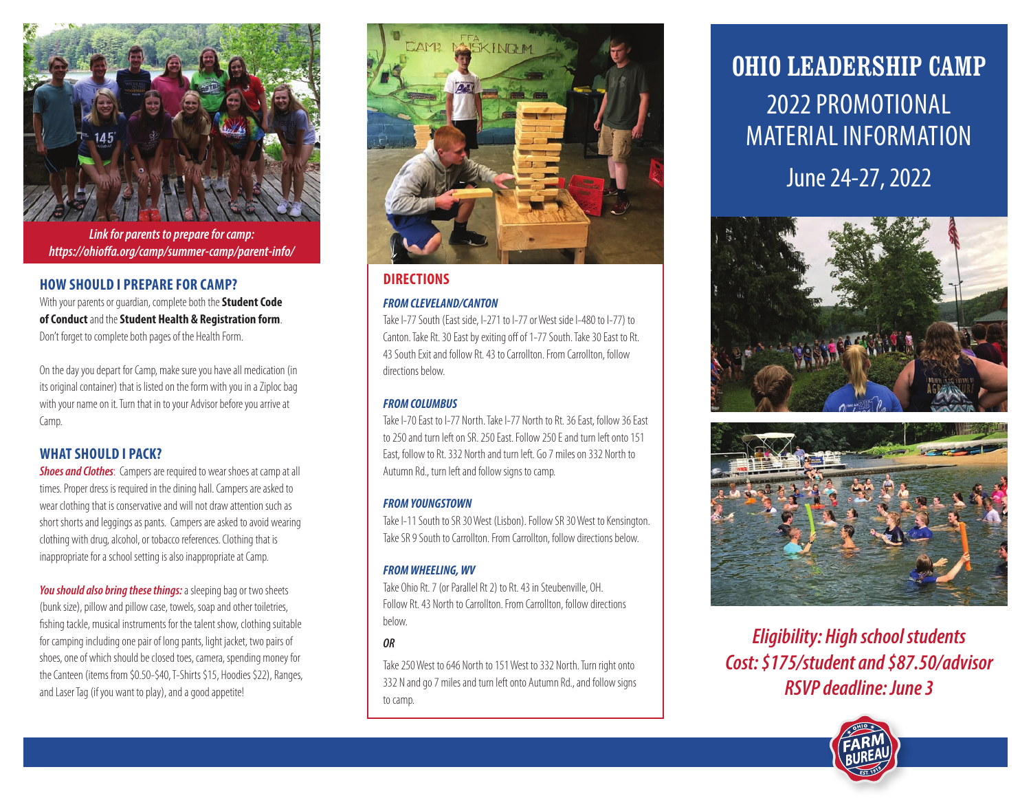

*Link for parents to prepare for camp: https://ohioffa.org/camp/summer-camp/parent-info/*

## **HOW SHOULD I PREPARE FOR CAMP?**

With your parents or guardian, complete both the **Student Code of Conduct** and the **Student Health & Registration form**. Don't forget to complete both pages of the Health Form.

On the day you depart for Camp, make sure you have all medication (in its original container) that is listed on the form with you in a Ziploc bag with your name on it. Turn that in to your Advisor before you arrive at Camp.

# **WHAT SHOULD I PACK?**

**Shoes and Clothes**: Campers are required to wear shoes at camp at all times. Proper dress is required in the dining hall. Campers are asked to wear clothing that is conservative and will not draw attention such as short shorts and leggings as pants. Campers are asked to avoid wearing clothing with drug, alcohol, or tobacco references. Clothing that is inappropriate for a school setting is also inappropriate at Camp.

*You should also bring these things:* a sleeping bag or two sheets (bunk size), pillow and pillow case, towels, soap and other toiletries, fishing tackle, musical instruments for the talent show, clothing suitable for camping including one pair of long pants, light jacket, two pairs of shoes, one of which should be closed toes, camera, spending money for the Canteen (items from \$0.50-\$40, T-Shirts \$15, Hoodies \$22), Ranges, and Laser Tag (if you want to play), and a good appetite!



# **DIRECTIONS**

## *FROM CLEVELAND/CANTON*

Take I-77 South (East side, I-271 to I-77 or West side I-480 to I-77) to Canton. Take Rt. 30 East by exiting off of 1-77 South. Take 30 East to Rt. 43 South Exit and follow Rt. 43 to Carrollton. From Carrollton, follow directions below.

## *FROM COLUMBUS*

Take I-70 East to I-77 North. Take I-77 North to Rt. 36 East, follow 36 East to 250 and turn left on SR. 250 East. Follow 250 E and turn left onto 151 East, follow to Rt. 332 North and turn left. Go 7 miles on 332 North to Autumn Rd., turn left and follow signs to camp.

## *FROMYOUNGSTOWN*

Take I-11 South to SR 30 West (Lisbon). Follow SR 30 West to Kensington. Take SR 9 South to Carrollton. From Carrollton, follow directions below.

## *FROMWHEELING,WV*

Take Ohio Rt. 7 (or Parallel Rt 2) to Rt. 43 in Steubenville, OH. Follow Rt. 43 North to Carrollton. From Carrollton, follow directions below.

## *OR*

Take 250 West to 646 North to 151 West to 332 North. Turn right onto 332 N and go 7 miles and turn left onto Autumn Rd., and follow signs to camp.

# OHIO LEADERSHIP CAMP 2022 PROMOTIONAL MATERIAL INFORMATION June 24-27, 2022





*Eligibility: High school students Cost: \$175/student and \$87.50/advisor RSVP deadline: June 3*